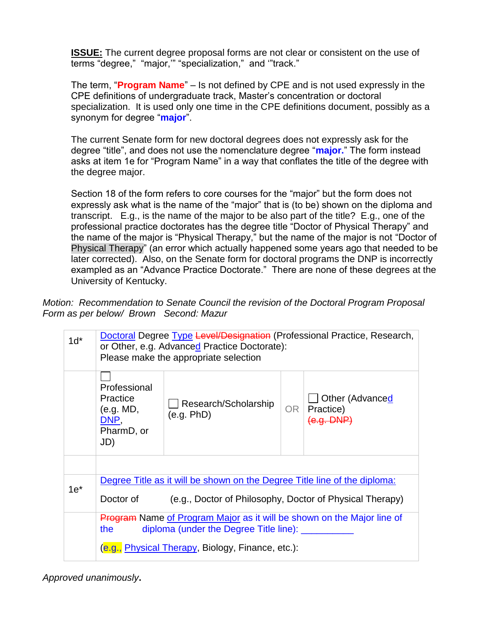**ISSUE:** The current degree proposal forms are not clear or consistent on the use of terms "degree," "major,'" "specialization," and '"track."

The term, "**Program Name**" – Is not defined by CPE and is not used expressly in the CPE definitions of undergraduate track, Master's concentration or doctoral specialization. It is used only one time in the CPE definitions document, possibly as a synonym for degree "**major**".

The current Senate form for new doctoral degrees does not expressly ask for the degree "title", and does not use the nomenclature degree "**major.**" The form instead asks at item 1e for "Program Name" in a way that conflates the title of the degree with the degree major.

Section 18 of the form refers to core courses for the "major" but the form does not expressly ask what is the name of the "major" that is (to be) shown on the diploma and transcript. E.g., is the name of the major to be also part of the title? E.g., one of the professional practice doctorates has the degree title "Doctor of Physical Therapy" and the name of the major is "Physical Therapy," but the name of the major is not "Doctor of Physical Therapy" (an error which actually happened some years ago that needed to be later corrected). Also, on the Senate form for doctoral programs the DNP is incorrectly exampled as an "Advance Practice Doctorate." There are none of these degrees at the University of Kentucky.

*Motion: Recommendation to Senate Council the revision of the Doctoral Program Proposal Form as per below/ Brown Second: Mazur*

| $1d^*$ | Doctoral Degree Type Level/Designation (Professional Practice, Research,<br>or Other, e.g. Advanced Practice Doctorate):<br>Please make the appropriate selection |                                    |    |                                            |
|--------|-------------------------------------------------------------------------------------------------------------------------------------------------------------------|------------------------------------|----|--------------------------------------------|
|        | Professional<br>Practice<br>(e.g. MD,<br>DNP.<br>PharmD, or<br>JD)                                                                                                | Research/Scholarship<br>(e.g. PhD) | OR | Other (Advanced<br>Practice)<br>(e.g. DNP) |
|        |                                                                                                                                                                   |                                    |    |                                            |
| $1e*$  | Degree Title as it will be shown on the Degree Title line of the diploma:                                                                                         |                                    |    |                                            |
|        | (e.g., Doctor of Philosophy, Doctor of Physical Therapy)<br>Doctor of                                                                                             |                                    |    |                                            |
|        | <b>Program Name of Program Major as it will be shown on the Major line of</b><br>diploma (under the Degree Title line): __<br>the                                 |                                    |    |                                            |
|        | (e.g., Physical Therapy, Biology, Finance, etc.):                                                                                                                 |                                    |    |                                            |

*Approved unanimously***.**